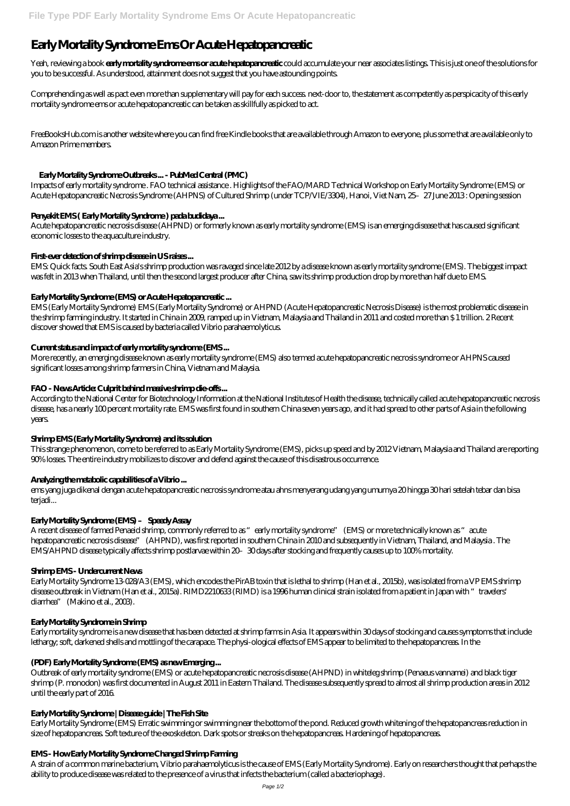# **Early Mortality Syndrome Ems Or Acute Hepatopancreatic**

Yeah, reviewing a book **early mortality syndrome ems or acute hepatopancreatic** could accumulate your near associates listings. This is just one of the solutions for you to be successful. As understood, attainment does not suggest that you have astounding points.

Comprehending as well as pact even more than supplementary will pay for each success. next-door to, the statement as competently as perspicacity of this early mortality syndrome ems or acute hepatopancreatic can be taken as skillfully as picked to act.

FreeBooksHub.com is another website where you can find free Kindle books that are available through Amazon to everyone, plus some that are available only to Amazon Prime members.

# **Early Mortality Syndrome Outbreaks ... - PubMed Central (PMC)**

Impacts of early mortality syndrome . FAO technical assistance . Highlights of the FAO/MARD Technical Workshop on Early Mortality Syndrome (EMS) or Acute Hepatopancreatic Necrosis Syndrome (AHPNS) of Cultured Shrimp (under TCP/VIE/3304), Hanoi, Viet Nam, 25–27 June 2013 : Opening session

## Penyakit EMS ( Early Mortality Syndrome ) pada budidaya ...

Acute hepatopancreatic necrosis disease (AHPND) or formerly known as early mortality syndrome (EMS) is an emerging disease that has caused significant economic losses to the aquaculture industry.

## **First-ever detection of shrimp disease in US raises ...**

EMS: Quick facts. South East Asia's shrimp production was ravaged since late 2012 by a disease known as early mortality syndrome (EMS). The biggest impact was felt in 2013 when Thailand, until then the second largest producer after China, saw its shrimp production drop by more than half due to EMS.

## **Early Mortality Syndrome (EMS) or Acute Hepatopancreatic ...**

EMS (Early Mortality Syndrome) EMS (Early Mortality Syndrome) or AHPND (Acute Hepatopancreatic Necrosis Disease) is the most problematic disease in the shrimp farming industry. It started in China in 2009, ramped up in Vietnam, Malaysia and Thailand in 2011 and costed more than \$ 1 trillion. 2 Recent discover showed that EMS is caused by bacteria called Vibrio parahaemolyticus.

# **Current status and impact of early mortality syndrome (EMS ...**

More recently, an emerging disease known as early mortality syndrome (EMS) also termed acute hepatopancreatic necrosis syndrome or AHPNS caused significant losses among shrimp farmers in China, Vietnam and Malaysia.

#### **FAO - News Article: Culprit behind massive shrimp die-offs ...**

According to the National Center for Biotechnology Information at the National Institutes of Health the disease, technically called acute hepatopancreatic necrosis disease, has a nearly 100 percent mortality rate. EMS was first found in southern China seven years ago, and it had spread to other parts of Asia in the following years.

#### **Shrimp EMS (Early Mortality Syndrome) and its solution**

This strange phenomenon, come to be referred to as Early Mortality Syndrome (EMS), picks up speed and by 2012 Vietnam, Malaysia and Thailand are reporting 90% losses. The entire industry mobilizes to discover and defend against the cause of this disastrous occurrence.

#### **Analyzing the metabolic capabilities of a Vibrio ...**

ems yang juga dikenal dengan acute hepatopancreatic necrosis syndrome atau ahns menyerang udang yang umurnya 20 hingga 30 hari setelah tebar dan bisa terjadi...

#### **Early Mortality Syndrome (EMS) – Speedy Assay**

A recent disease of farmed Penaeid shrimp, commonly referred to as "early mortality syndrome" (EMS) or more technically known as "acute hepatopancreatic necrosis disease" (AHPND), was first reported in southern China in 2010 and subsequently in Vietnam, Thailand, and Malaysia . The EMS/AHPND disease typically affects shrimp postlarvae within 20–30 days after stocking and frequently causes up to 100% mortality.

#### **Shrimp EMS - Undercurrent News**

Early Mortality Syndrome 13-028/A3 (EMS), which encodes the PirAB toxin that is lethal to shrimp (Han et al., 2015b), was isolated from a VP EMS shrimp disease outbreak in Vietnam (Han et al., 2015a). RIMD2210633 (RIMD) is a 1996 human clinical strain isolated from a patient in Japan with "travelers' diarrhea" (Makino et al., 2003).

## **Early Mortality Syndrome in Shrimp**

Early mortality syndrome is a new disease that has been detected at shrimp farms in Asia. It appears within 30 days of stocking and causes symptoms that include lethargy; soft, darkened shells and mottling of the carapace. The physi-ological effects of EMS appear to be limited to the hepatopancreas. In the

## **(PDF) Early Mortality Syndrome (EMS) as new Emerging ...**

Outbreak of early mortality syndrome (EMS) or acute hepatopancreatic necrosis disease (AHPND) in whiteleg shrimp (Penaeus vannamei) and black tiger shrimp (P. monodon) was first documented in August 2011 in Eastern Thailand. The disease subsequently spread to almost all shrimp production areas in 2012 until the early part of 2016.

#### **Early Mortality Syndrome | Disease guide | The Fish Site**

Early Mortality Syndrome (EMS) Erratic swimming or swimming near the bottom of the pond. Reduced growth whitening of the hepatopancreas reduction in size of hepatopancreas. Soft texture of the exoskeleton. Dark spots or streaks on the hepatopancreas. Hardening of hepatopancreas.

#### **EMS - How Early Mortality Syndrome Changed Shrimp Farming**

A strain of a common marine bacterium, Vibrio parahaemolyticus is the cause of EMS (Early Mortality Syndrome). Early on researchers thought that perhaps the ability to produce disease was related to the presence of a virus that infects the bacterium (called a bacteriophage).